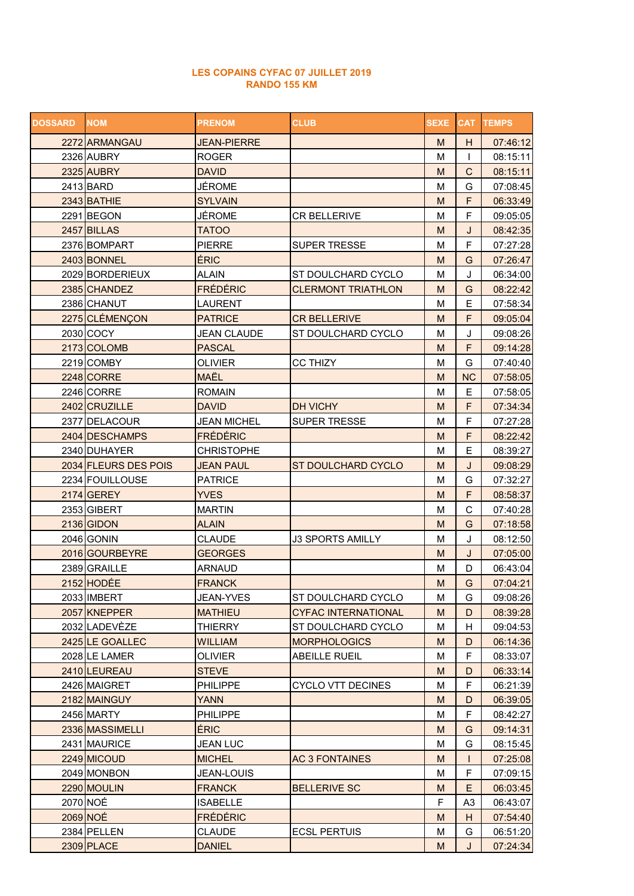## LES COPAINS CYFAC 07 JUILLET 2019 RANDO 155 KM

| <b>DOSSARD</b> | <b>NOM</b>           | <b>PRENOM</b>      | <b>CLUB</b>                | <b>SEXE</b> |                | <b>CAT TEMPS</b> |
|----------------|----------------------|--------------------|----------------------------|-------------|----------------|------------------|
|                | 2272 ARMANGAU        | <b>JEAN-PIERRE</b> |                            | M           | H              | 07:46:12         |
|                | 2326 AUBRY           | <b>ROGER</b>       |                            | M           | $\mathbf{I}$   | 08:15:11         |
|                | 2325 AUBRY           | <b>DAVID</b>       |                            | M           | $\mathsf{C}$   | 08:15:11         |
|                | 2413 BARD            | JÉROME             |                            | M           | G              | 07:08:45         |
|                | 2343 BATHIE          | <b>SYLVAIN</b>     |                            | M           | F              | 06:33:49         |
|                | 2291 BEGON           | JÉROME             | CR BELLERIVE               | M           | F              | 09:05:05         |
|                | 2457 BILLAS          | <b>TATOO</b>       |                            | M           | J              | 08:42:35         |
|                | 2376 BOMPART         | <b>PIERRE</b>      | <b>SUPER TRESSE</b>        | M           | F              | 07:27:28         |
|                | 2403 BONNEL          | ÉRIC               |                            | M           | G              | 07:26:47         |
|                | 2029 BORDERIEUX      | <b>ALAIN</b>       | ST DOULCHARD CYCLO         | M           | J              | 06:34:00         |
|                | 2385 CHANDEZ         | <b>FRÉDÉRIC</b>    | <b>CLERMONT TRIATHLON</b>  | M           | G              | 08:22:42         |
|                | 2386 CHANUT          | <b>LAURENT</b>     |                            | M           | E              | 07:58:34         |
|                | 2275 CLÉMENÇON       | <b>PATRICE</b>     | <b>CR BELLERIVE</b>        | M           | F              | 09:05:04         |
|                | 2030 COCY            | <b>JEAN CLAUDE</b> | ST DOULCHARD CYCLO         | M           | J              | 09:08:26         |
|                | 2173 COLOMB          | <b>PASCAL</b>      |                            | M           | F              | 09:14:28         |
|                | 2219 COMBY           | <b>OLIVIER</b>     | <b>CC THIZY</b>            | M           | G              | 07:40:40         |
|                | 2248 CORRE           | <b>MAËL</b>        |                            | M           | <b>NC</b>      | 07:58:05         |
|                | 2246 CORRE           | <b>ROMAIN</b>      |                            | M           | E              | 07:58:05         |
|                | 2402 CRUZILLE        | <b>DAVID</b>       | DH VICHY                   | M           | F              | 07:34:34         |
|                | 2377 DELACOUR        | <b>JEAN MICHEL</b> | SUPER TRESSE               | M           | F              | 07:27:28         |
|                | 2404 DESCHAMPS       | <b>FRÉDÉRIC</b>    |                            | M           | F              | 08:22:42         |
|                | 2340 DUHAYER         | <b>CHRISTOPHE</b>  |                            | M           | E              | 08:39:27         |
|                | 2034 FLEURS DES POIS | <b>JEAN PAUL</b>   | ST DOULCHARD CYCLO         | M           | J              | 09:08:29         |
|                | 2234 FOUILLOUSE      | <b>PATRICE</b>     |                            | M           | G              | 07:32:27         |
|                | 2174 GEREY           | <b>YVES</b>        |                            | M           | F              | 08:58:37         |
|                | 2353 GIBERT          | <b>MARTIN</b>      |                            | M           | C              | 07:40:28         |
|                | 2136 GIDON           | <b>ALAIN</b>       |                            | M           | G              | 07:18:58         |
|                | 2046 GONIN           | <b>CLAUDE</b>      | <b>J3 SPORTS AMILLY</b>    | M           | J              | 08:12:50         |
|                | 2016 GOURBEYRE       | <b>GEORGES</b>     |                            | M           | J              | 07:05:00         |
|                | 2389 GRAILLE         | <b>ARNAUD</b>      |                            | M           | D              | 06:43:04         |
|                | 2152 HODÉE           | <b>FRANCK</b>      |                            | M           | G              | 07:04:21         |
|                | 2033 IMBERT          | JEAN-YVES          | ST DOULCHARD CYCLO         | М           | G              | 09:08:26         |
|                | 2057 KNEPPER         | <b>MATHIEU</b>     | <b>CYFAC INTERNATIONAL</b> | M           | D              | 08:39:28         |
|                | 2032 LADEVÈZE        | <b>THIERRY</b>     | ST DOULCHARD CYCLO         | М           | н              | 09:04:53         |
|                | 2425 LE GOALLEC      | <b>WILLIAM</b>     | <b>MORPHOLOGICS</b>        | M           | D              | 06:14:36         |
|                | 2028 LE LAMER        | <b>OLIVIER</b>     | <b>ABEILLE RUEIL</b>       | M           | F              | 08:33:07         |
|                | 2410 LEUREAU         | <b>STEVE</b>       |                            | M           | D              | 06:33:14         |
|                | 2426 MAIGRET         | <b>PHILIPPE</b>    | <b>CYCLO VTT DECINES</b>   | М           | F              | 06:21:39         |
|                | 2182 MAINGUY         | <b>YANN</b>        |                            | M           | D              | 06:39:05         |
|                | 2456 MARTY           | <b>PHILIPPE</b>    |                            | M           | F              | 08:42:27         |
|                | 2336 MASSIMELLI      | <b>ÉRIC</b>        |                            | M           | G              | 09:14:31         |
|                | 2431 MAURICE         | <b>JEAN LUC</b>    |                            | M           | G              | 08:15:45         |
|                | 2249 MICOUD          | <b>MICHEL</b>      | <b>AC 3 FONTAINES</b>      | M           | $\mathsf{I}$   | 07:25:08         |
|                | 2049 MONBON          | <b>JEAN-LOUIS</b>  |                            | M           | F              | 07:09:15         |
|                | 2290 MOULIN          | <b>FRANCK</b>      | <b>BELLERIVE SC</b>        | ${\sf M}$   | E              | 06:03:45         |
|                | 2070 NOÉ             | <b>ISABELLE</b>    |                            | F           | A <sub>3</sub> | 06:43:07         |
|                | 2069 NOÉ             | <b>FRÉDÉRIC</b>    |                            | M           | H              | 07:54:40         |
|                | 2384 PELLEN          | <b>CLAUDE</b>      | <b>ECSL PERTUIS</b>        | M           | G              | 06:51:20         |
|                | <b>2309 PLACE</b>    | <b>DANIEL</b>      |                            | M           | J              | 07:24:34         |